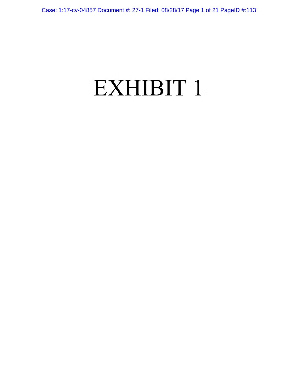# EXHIBIT 1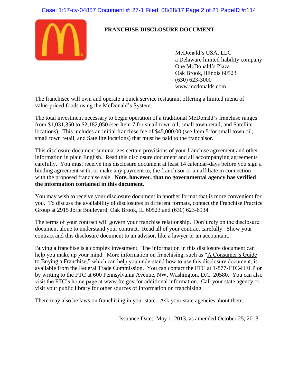# Case: 1:17-cv-04857 Document #: 27-1 Filed: 08/28/17 Page 2 of 21 PageID #:114



# **FRANCHISE DISCLOSURE DOCUMENT**

McDonald's USA, LLC a Delaware limited liability company One McDonald's Plaza Oak Brook, Illinois 60523 (630) 623-3000 www.mcdonalds.com

The franchisee will own and operate a quick service restaurant offering a limited menu of value-priced foods using the McDonald's System.

The total investment necessary to begin operation of a traditional McDonald's franchise ranges from \$1,031,350 to \$2,182,050 (see Item 7 for small town oil, small town retail, and Satellite locations). This includes an initial franchise fee of \$45,000.00 (see Item 5 for small town oil, small town retail, and Satellite locations) that must be paid to the franchisor.

This disclosure document summarizes certain provisions of your franchise agreement and other information in plain English. Read this disclosure document and all accompanying agreements carefully. You must receive this disclosure document at least 14 calendar-days before you sign a binding agreement with, or make any payment to, the franchisor or an affiliate in connection with the proposed franchise sale. **Note, however, that no governmental agency has verified the information contained in this document**.

You may wish to receive your disclosure document in another format that is more convenient for you. To discuss the availability of disclosures in different formats, contact the Franchise Practice Group at 2915 Jorie Boulevard, Oak Brook, IL 60523 and (630) 623-6934.

The terms of your contract will govern your franchise relationship. Don't rely on the disclosure document alone to understand your contract. Read all of your contract carefully. Show your contract and this disclosure document to an advisor, like a lawyer or an accountant.

Buying a franchise is a complex investment. The information in this disclosure document can help you make up your mind. More information on franchising, such as "A Consumer's Guide to Buying a Franchise," which can help you understand how to use this disclosure document, is available from the Federal Trade Commission. You can contact the FTC at 1-877-FTC-HELP or by writing to the FTC at 600 Pennsylvania Avenue, NW, Washington, D.C. 20580. You can also visit the FTC's home page at www.ftc.gov for additional information. Call your state agency or visit your public library for other sources of information on franchising.

There may also be laws on franchising in your state. Ask your state agencies about them.

Issuance Date: May 1, 2013, as amended October 25, 2013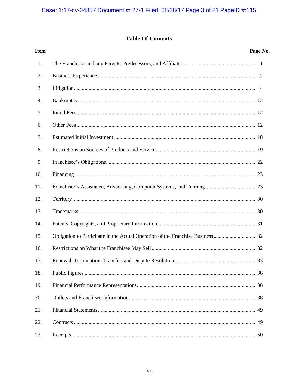# **Table Of Contents**

| <b>Item</b> | Page No. |
|-------------|----------|
| 1.          |          |
| 2.          |          |
| 3.          |          |
| 4.          |          |
| 5.          |          |
| 6.          |          |
| 7.          |          |
| 8.          |          |
| 9.          |          |
| 10.         |          |
| 11.         |          |
| 12.         |          |
| 13.         |          |
| 14.         |          |
| 15.         |          |
| 16.         |          |
| 17.         |          |
| 18.         |          |
| 19.         |          |
| 20.         |          |
| 21.         |          |
| 22.         | 49       |
| 23.         | 50       |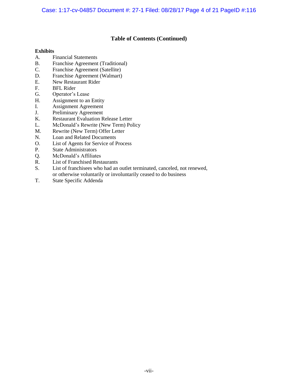# **Table of Contents (Continued)**

## **Exhibits**

- A. Financial Statements
- B. Franchise Agreement (Traditional)
- C. Franchise Agreement (Satellite)
- D. Franchise Agreement (Walmart)
- E. New Restaurant Rider
- F. BFL Rider
- G. Operator's Lease
- H. Assignment to an Entity
- I. Assignment Agreement
- J. Preliminary Agreement
- K. Restaurant Evaluation Release Letter
- L. McDonald's Rewrite (New Term) Policy
- M. Rewrite (New Term) Offer Letter
- N. Loan and Related Documents
- O. List of Agents for Service of Process
- P. State Administrators
- Q. McDonald's Affiliates<br>R. List of Franchised Rest
- **List of Franchised Restaurants**
- S. List of franchisees who had an outlet terminated, canceled, not renewed, or otherwise voluntarily or involuntarily ceased to do business
- T. State Specific Addenda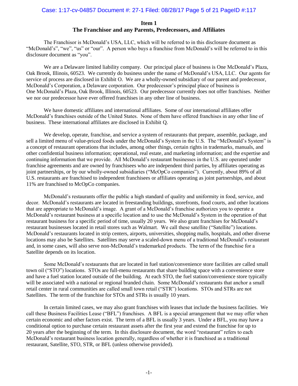# Case: 1:17-cv-04857 Document #: 27-1 Filed: 08/28/17 Page 5 of 21 PageID #:117

# **Item 1 The Franchisor and any Parents, Predecessors, and Affiliates**

The Franchisor is McDonald's USA, LLC, which will be referred to in this disclosure document as "McDonald's", "we", "us" or "our". A person who buys a franchise from McDonald's will be referred to in this disclosure document as "you".

We are a Delaware limited liability company. Our principal place of business is One McDonald's Plaza, Oak Brook, Illinois, 60523. We currently do business under the name of McDonald's USA, LLC. Our agents for service of process are disclosed in Exhibit O. We are a wholly-owned subsidiary of our parent and predecessor, McDonald's Corporation, a Delaware corporation. Our predecessor's principal place of business is One McDonald's Plaza, Oak Brook, Illinois, 60523. Our predecessor currently does not offer franchises. Neither we nor our predecessor have ever offered franchises in any other line of business.

We have domestic affiliates and international affiliates. Some of our international affiliates offer McDonald's franchises outside of the United States. None of them have offered franchises in any other line of business. These international affiliates are disclosed in Exhibit Q.

We develop, operate, franchise, and service a system of restaurants that prepare, assemble, package, and sell a limited menu of value-priced foods under the McDonald's System in the U.S. The "McDonald's System" is a concept of restaurant operations that includes, among other things, certain rights in trademarks, manuals, and other confidential business information; operational, real estate, and marketing information; and the expertise and continuing information that we provide. All McDonald's restaurant businesses in the U.S. are operated under franchise agreements and are owned by franchisees who are independent third parties, by affiliates operating as joint partnerships, or by our wholly-owned subsidiaries ("McOpCo companies"). Currently, about 89% of all U.S. restaurants are franchised to independent franchisees or affiliates operating as joint partnerships, and about 11% are franchised to McOpCo companies.

McDonald's restaurants offer the public a high standard of quality and uniformity in food, service, and decor. McDonald's restaurants are located in freestanding buildings, storefronts, food courts, and other locations that are appropriate to McDonald's image. A grant of a McDonald's franchise authorizes you to operate a McDonald's restaurant business at a specific location and to use the McDonald's System in the operation of that restaurant business for a specific period of time, usually 20 years. We also grant franchises for McDonald's restaurant businesses located in retail stores such as Walmart. We call these satellite ("Satellite") locations. McDonald's restaurants located in strip centers, airports, universities, shopping malls, hospitals, and other diverse locations may also be Satellites. Satellites may serve a scaled-down menu of a traditional McDonald's restaurant and, in some cases, will also serve non-McDonald's trademarked products. The term of the franchise for a Satellite depends on its location.

Some McDonald's restaurants that are located in fuel station/convenience store facilities are called small town oil ("STO") locations. STOs are full-menu restaurants that share building space with a convenience store and have a fuel station located outside of the building. At each STO, the fuel station/convenience store typically will be associated with a national or regional branded chain. Some McDonald's restaurants that anchor a small retail center in rural communities are called small town retail ("STR") locations. STOs and STRs are not Satellites. The term of the franchise for STOs and STRs is usually 10 years.

In certain limited cases, we may also grant franchises with leases that include the business facilities. We call these Business Facilities Lease ("BFL") franchises. A BFL is a special arrangement that we may offer when certain economic and other factors exist. The term of a BFL is usually 3 years. Under a BFL, you may have a conditional option to purchase certain restaurant assets after the first year and extend the franchise for up to 20 years after the beginning of the term. In this disclosure document, the word "restaurant" refers to each McDonald's restaurant business location generally, regardless of whether it is franchised as a traditional restaurant, Satellite, STO, STR, or BFL (unless otherwise provided).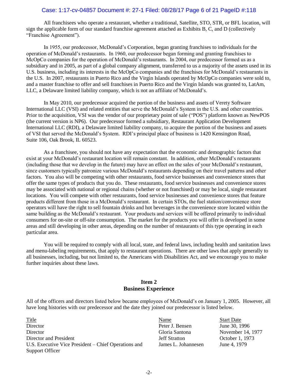# Case: 1:17-cv-04857 Document #: 27-1 Filed: 08/28/17 Page 6 of 21 PageID #:118

All franchisees who operate a restaurant, whether a traditional, Satellite, STO, STR, or BFL location, will sign the applicable form of our standard franchise agreement attached as Exhibits B, C, and D (collectively "Franchise Agreement").

In 1955, our predecessor, McDonald's Corporation, began granting franchises to individuals for the operation of McDonald's restaurants. In 1960, our predecessor began forming and granting franchises to McOpCo companies for the operation of McDonald's restaurants. In 2004, our predecessor formed us as a subsidiary and in 2005, as part of a global company alignment, transferred to us a majority of the assets used in its U.S. business, including its interests in the McOpCo companies and the franchises for McDonald's restaurants in the U.S. In 2007, restaurants in Puerto Rico and the Virgin Islands operated by McOpCo companies were sold to, and a master franchise to offer and sell franchises in Puerto Rico and the Virgin Islands was granted to, LatAm, LLC, a Delaware limited liability company, which is not an affiliate of McDonald's.

In May 2010, our predecessor acquired the portion of the business and assets of Verety Software International LLC (VSI) and related entities that serve the McDonald's System in the U.S. and other countries. Prior to the acquisition, VSI was the vendor of our proprietary point of sale ("POS") platform known as NewPOS (the current version is NP6). Our predecessor formed a subsidiary, Restaurant Application Development International LLC (RDI), a Delaware limited liability company, to acquire the portion of the business and assets of VSI that served the McDonald's System. RDI's principal place of business is 1420 Kensington Road, Suite 106, Oak Brook, IL 60523.

As a franchisee, you should not have any expectation that the economic and demographic factors that exist at your McDonald's restaurant location will remain constant. In addition, other McDonald's restaurants (including those that we develop in the future) may have an effect on the sales of your McDonald's restaurant, since customers typically patronize various McDonald's restaurants depending on their travel patterns and other factors. You also will be competing with other restaurants, food service businesses and convenience stores that offer the same types of products that you do. These restaurants, food service businesses and convenience stores may be associated with national or regional chains (whether or not franchised) or may be local, single restaurant locations. You will compete with other restaurants, food service businesses and convenience stores that feature products different from those in a McDonald's restaurant. In certain STOs, the fuel station/convenience store operators will have the right to sell fountain drinks and hot beverages in the convenience store located within the same building as the McDonald's restaurant. Your products and services will be offered primarily to individual consumers for on-site or off-site consumption. The market for the products you will offer is developed in some areas and still developing in other areas, depending on the number of restaurants of this type operating in each particular area.

You will be required to comply with all local, state, and federal laws, including health and sanitation laws and menu-labeling requirements, that apply to restaurant operations. There are other laws that apply generally to all businesses, including, but not limited to, the Americans with Disabilities Act, and we encourage you to make further inquiries about these laws.

# **Item 2 Business Experience**

All of the officers and directors listed below became employees of McDonald's on January 1, 2005. However, all have long histories with our predecessor and the date they joined our predecessor is listed below.

Title Start Date Start Date Name Start Date Director Peter J. Bensen June 30, 1996 Director Gloria Santona November 14, 1977 Director and President The Stratton Jeff Stratton Decober 1, 1973 U.S. Executive Vice President – Chief Operations and Support Officer

James L. Johannesen June 4, 1979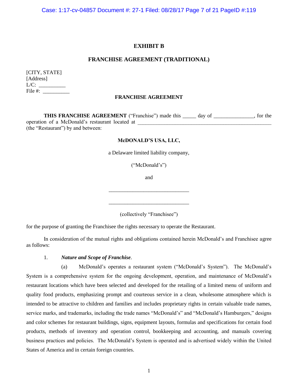Case: 1:17-cv-04857 Document #: 27-1 Filed: 08/28/17 Page 7 of 21 PageID #:119

# **EXHIBIT B**

### **FRANCHISE AGREEMENT (TRADITIONAL)**

| [CITY, STATE] |  |
|---------------|--|
| [Address]     |  |
| $L/C$ :       |  |
| File $#$ :    |  |

#### **FRANCHISE AGREEMENT**

**THIS FRANCHISE AGREEMENT** ("Franchise") made this day of , for the operation of a McDonald's restaurant located at \_\_\_\_\_\_\_\_\_\_\_\_\_\_\_\_\_\_\_\_\_\_\_\_\_\_\_\_\_\_\_\_\_\_\_\_\_\_\_\_\_\_\_\_\_\_\_\_\_\_ (the "Restaurant") by and between:

#### **McDONALD'S USA, LLC,**

a Delaware limited liability company,

("McDonald's")

and

\_\_\_\_\_\_\_\_\_\_\_\_\_\_\_\_\_\_\_\_\_\_\_\_\_\_\_\_\_\_

\_\_\_\_\_\_\_\_\_\_\_\_\_\_\_\_\_\_\_\_\_\_\_\_\_\_\_\_\_\_

(collectively "Franchisee")

for the purpose of granting the Franchisee the rights necessary to operate the Restaurant.

In consideration of the mutual rights and obligations contained herein McDonald's and Franchisee agree as follows:

#### 1. *Nature and Scope of Franchise*.

(a) McDonald's operates a restaurant system ("McDonald's System"). The McDonald's System is a comprehensive system for the ongoing development, operation, and maintenance of McDonald's restaurant locations which have been selected and developed for the retailing of a limited menu of uniform and quality food products, emphasizing prompt and courteous service in a clean, wholesome atmosphere which is intended to be attractive to children and families and includes proprietary rights in certain valuable trade names, service marks, and trademarks, including the trade names "McDonald's" and "McDonald's Hamburgers," designs and color schemes for restaurant buildings, signs, equipment layouts, formulas and specifications for certain food products, methods of inventory and operation control, bookkeeping and accounting, and manuals covering business practices and policies. The McDonald's System is operated and is advertised widely within the United States of America and in certain foreign countries.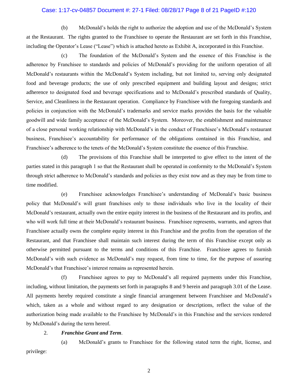#### Case: 1:17-cv-04857 Document #: 27-1 Filed: 08/28/17 Page 8 of 21 PageID #:120

(b) McDonald's holds the right to authorize the adoption and use of the McDonald's System at the Restaurant. The rights granted to the Franchisee to operate the Restaurant are set forth in this Franchise, including the Operator's Lease ("Lease") which is attached hereto as Exhibit A, incorporated in this Franchise.

(c) The foundation of the McDonald's System and the essence of this Franchise is the adherence by Franchisee to standards and policies of McDonald's providing for the uniform operation of all McDonald's restaurants within the McDonald's System including, but not limited to, serving only designated food and beverage products; the use of only prescribed equipment and building layout and designs; strict adherence to designated food and beverage specifications and to McDonald's prescribed standards of Quality, Service, and Cleanliness in the Restaurant operation. Compliance by Franchisee with the foregoing standards and policies in conjunction with the McDonald's trademarks and service marks provides the basis for the valuable goodwill and wide family acceptance of the McDonald's System. Moreover, the establishment and maintenance of a close personal working relationship with McDonald's in the conduct of Franchisee's McDonald's restaurant business, Franchisee's accountability for performance of the obligations contained in this Franchise, and Franchisee's adherence to the tenets of the McDonald's System constitute the essence of this Franchise.

(d) The provisions of this Franchise shall be interpreted to give effect to the intent of the parties stated in this paragraph 1 so that the Restaurant shall be operated in conformity to the McDonald's System through strict adherence to McDonald's standards and policies as they exist now and as they may be from time to time modified.

(e) Franchisee acknowledges Franchisee's understanding of McDonald's basic business policy that McDonald's will grant franchises only to those individuals who live in the locality of their McDonald's restaurant, actually own the entire equity interest in the business of the Restaurant and its profits, and who will work full time at their McDonald's restaurant business. Franchisee represents, warrants, and agrees that Franchisee actually owns the complete equity interest in this Franchise and the profits from the operation of the Restaurant, and that Franchisee shall maintain such interest during the term of this Franchise except only as otherwise permitted pursuant to the terms and conditions of this Franchise. Franchisee agrees to furnish McDonald's with such evidence as McDonald's may request, from time to time, for the purpose of assuring McDonald's that Franchisee's interest remains as represented herein.

(f) Franchisee agrees to pay to McDonald's all required payments under this Franchise, including, without limitation, the payments set forth in paragraphs 8 and 9 herein and paragraph 3.01 of the Lease. All payments hereby required constitute a single financial arrangement between Franchisee and McDonald's which, taken as a whole and without regard to any designation or descriptions, reflect the value of the authorization being made available to the Franchisee by McDonald's in this Franchise and the services rendered by McDonald's during the term hereof.

## 2. *Franchise Grant and Term*.

(a) McDonald's grants to Franchisee for the following stated term the right, license, and privilege: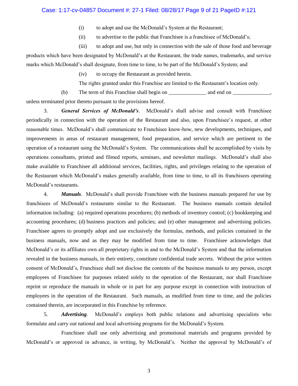# Case: 1:17-cv-04857 Document #: 27-1 Filed: 08/28/17 Page 9 of 21 PageID #:121

- (i) to adopt and use the McDonald's System at the Restaurant;
- (ii) to advertise to the public that Franchisee is a franchisee of McDonald's;
- (iii) to adopt and use, but only in connection with the sale of those food and beverage

products which have been designated by McDonald's at the Restaurant, the trade names, trademarks, and service marks which McDonald's shall designate, from time to time, to be part of the McDonald's System; and

(iv) to occupy the Restaurant as provided herein.

The rights granted under this Franchise are limited to the Restaurant's location only.

(b) The term of this Franchise shall begin on  $\Box$  and end on  $\Box$ unless terminated prior thereto pursuant to the provisions hereof.

3. *General Services of McDonald's*. McDonald's shall advise and consult with Franchisee periodically in connection with the operation of the Restaurant and also, upon Franchisee's request, at other reasonable times. McDonald's shall communicate to Franchisee know-how, new developments, techniques, and improvements in areas of restaurant management, food preparation, and service which are pertinent to the operation of a restaurant using the McDonald's System. The communications shall be accomplished by visits by operations consultants, printed and filmed reports, seminars, and newsletter mailings. McDonald's shall also make available to Franchisee all additional services, facilities, rights, and privileges relating to the operation of the Restaurant which McDonald's makes generally available, from time to time, to all its franchisees operating McDonald's restaurants.

4. *Manuals*. McDonald's shall provide Franchisee with the business manuals prepared for use by franchisees of McDonald's restaurants similar to the Restaurant. The business manuals contain detailed information including: (a) required operations procedures; (b) methods of inventory control; (c) bookkeeping and accounting procedures; (d) business practices and policies; and (e) other management and advertising policies. Franchisee agrees to promptly adopt and use exclusively the formulas, methods, and policies contained in the business manuals, now and as they may be modified from time to time. Franchisee acknowledges that McDonald's or its affiliates own all proprietary rights in and to the McDonald's System and that the information revealed in the business manuals, in their entirety, constitute confidential trade secrets. Without the prior written consent of McDonald's, Franchisee shall not disclose the contents of the business manuals to any person, except employees of Franchisee for purposes related solely to the operation of the Restaurant, nor shall Franchisee reprint or reproduce the manuals in whole or in part for any purpose except in connection with instruction of employees in the operation of the Restaurant. Such manuals, as modified from time to time, and the policies contained therein, are incorporated in this Franchise by reference.

5. *Advertising*. McDonald's employs both public relations and advertising specialists who formulate and carry out national and local advertising programs for the McDonald's System.

Franchisee shall use only advertising and promotional materials and programs provided by McDonald's or approved in advance, in writing, by McDonald's. Neither the approval by McDonald's of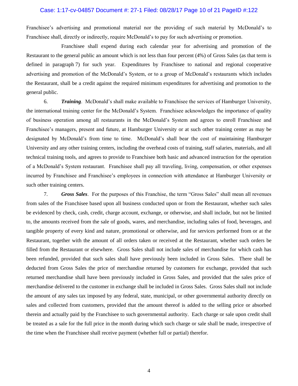#### Case: 1:17-cv-04857 Document #: 27-1 Filed: 08/28/17 Page 10 of 21 PageID #:122

Franchisee's advertising and promotional material nor the providing of such material by McDonald's to Franchisee shall, directly or indirectly, require McDonald's to pay for such advertising or promotion.

Franchisee shall expend during each calendar year for advertising and promotion of the Restaurant to the general public an amount which is not less than four percent (4%) of Gross Sales (as that term is defined in paragraph 7) for such year. Expenditures by Franchisee to national and regional cooperative advertising and promotion of the McDonald's System, or to a group of McDonald's restaurants which includes the Restaurant, shall be a credit against the required minimum expenditures for advertising and promotion to the general public.

6. *Training*. McDonald's shall make available to Franchisee the services of Hamburger University, the international training center for the McDonald's System. Franchisee acknowledges the importance of quality of business operation among all restaurants in the McDonald's System and agrees to enroll Franchisee and Franchisee's managers, present and future, at Hamburger University or at such other training center as may be designated by McDonald's from time to time. McDonald's shall bear the cost of maintaining Hamburger University and any other training centers, including the overhead costs of training, staff salaries, materials, and all technical training tools, and agrees to provide to Franchisee both basic and advanced instruction for the operation of a McDonald's System restaurant. Franchisee shall pay all traveling, living, compensation, or other expenses incurred by Franchisee and Franchisee's employees in connection with attendance at Hamburger University or such other training centers.

7. *Gross Sales*. For the purposes of this Franchise, the term "Gross Sales" shall mean all revenues from sales of the Franchisee based upon all business conducted upon or from the Restaurant, whether such sales be evidenced by check, cash, credit, charge account, exchange, or otherwise, and shall include, but not be limited to, the amounts received from the sale of goods, wares, and merchandise, including sales of food, beverages, and tangible property of every kind and nature, promotional or otherwise, and for services performed from or at the Restaurant, together with the amount of all orders taken or received at the Restaurant, whether such orders be filled from the Restaurant or elsewhere. Gross Sales shall not include sales of merchandise for which cash has been refunded, provided that such sales shall have previously been included in Gross Sales. There shall be deducted from Gross Sales the price of merchandise returned by customers for exchange, provided that such returned merchandise shall have been previously included in Gross Sales, and provided that the sales price of merchandise delivered to the customer in exchange shall be included in Gross Sales. Gross Sales shall not include the amount of any sales tax imposed by any federal, state, municipal, or other governmental authority directly on sales and collected from customers, provided that the amount thereof is added to the selling price or absorbed therein and actually paid by the Franchisee to such governmental authority. Each charge or sale upon credit shall be treated as a sale for the full price in the month during which such charge or sale shall be made, irrespective of the time when the Franchisee shall receive payment (whether full or partial) therefor.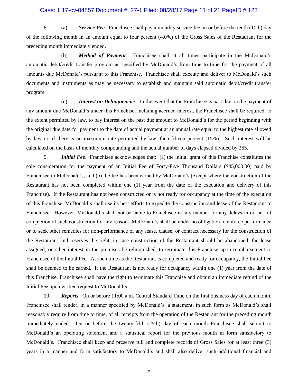#### Case: 1:17-cv-04857 Document #: 27-1 Filed: 08/28/17 Page 11 of 21 PageID #:123

8. (a) *Service Fee*. Franchisee shall pay a monthly service fee on or before the tenth (10th) day of the following month in an amount equal to four percent (4.0%) of the Gross Sales of the Restaurant for the preceding month immediately ended.

(b) *Method of Payment*. Franchisee shall at all times participate in the McDonald's automatic debit/credit transfer program as specified by McDonald's from time to time for the payment of all amounts due McDonald's pursuant to this Franchise. Franchisee shall execute and deliver to McDonald's such documents and instruments as may be necessary to establish and maintain said automatic debit/credit transfer program.

(c) *Interest on Delinquencies*. In the event that the Franchisee is past due on the payment of any amount due McDonald's under this Franchise, including accrued interest, the Franchisee shall be required, to the extent permitted by law, to pay interest on the past due amount to McDonald's for the period beginning with the original due date for payment to the date of actual payment at an annual rate equal to the highest rate allowed by law or, if there is no maximum rate permitted by law, then fifteen percent (15%). Such interest will be calculated on the basis of monthly compounding and the actual number of days elapsed divided by 365.

9. *Initial Fee*. Franchisee acknowledges that: (a) the initial grant of this Franchise constitutes the sole consideration for the payment of an Initial Fee of Forty-Five Thousand Dollars (\$45,000.00) paid by Franchisee to McDonald's; and (b) the fee has been earned by McDonald's (except where the construction of the Restaurant has not been completed within one (1) year from the date of the execution and delivery of this Franchise). If the Restaurant has not been constructed or is not ready for occupancy at the time of the execution of this Franchise, McDonald's shall use its best efforts to expedite the construction and lease of the Restaurant to Franchisee. However, McDonald's shall not be liable to Franchisee in any manner for any delays in or lack of completion of such construction for any reason. McDonald's shall be under no obligation to enforce performance or to seek other remedies for non-performance of any lease, clause, or contract necessary for the construction of the Restaurant and reserves the right, in case construction of the Restaurant should be abandoned, the lease assigned, or other interest in the premises be relinquished, to terminate this Franchise upon reimbursement to Franchisee of the Initial Fee. At such time as the Restaurant is completed and ready for occupancy, the Initial Fee shall be deemed to be earned. If the Restaurant is not ready for occupancy within one (1) year from the date of this Franchise, Franchisee shall have the right to terminate this Franchise and obtain an immediate refund of the Initial Fee upon written request to McDonald's.

10. *Reports*. On or before 11:00 a.m. Central Standard Time on the first business day of each month, Franchisee shall render, in a manner specified by McDonald's, a statement, in such form as McDonald's shall reasonably require from time to time, of all receipts from the operation of the Restaurant for the preceding month immediately ended. On or before the twenty-fifth (25th) day of each month Franchisee shall submit to McDonald's an operating statement and a statistical report for the previous month in form satisfactory to McDonald's. Franchisee shall keep and preserve full and complete records of Gross Sales for at least three (3) years in a manner and form satisfactory to McDonald's and shall also deliver such additional financial and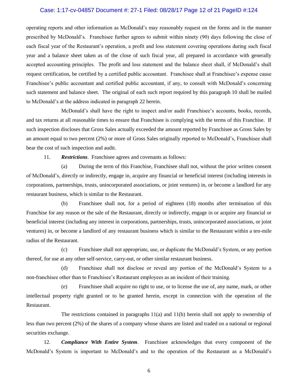#### Case: 1:17-cv-04857 Document #: 27-1 Filed: 08/28/17 Page 12 of 21 PageID #:124

operating reports and other information as McDonald's may reasonably request on the forms and in the manner prescribed by McDonald's. Franchisee further agrees to submit within ninety (90) days following the close of each fiscal year of the Restaurant's operation, a profit and loss statement covering operations during such fiscal year and a balance sheet taken as of the close of such fiscal year, all prepared in accordance with generally accepted accounting principles. The profit and loss statement and the balance sheet shall, if McDonald's shall request certification, be certified by a certified public accountant. Franchisee shall at Franchisee's expense cause Franchisee's public accountant and certified public accountant, if any, to consult with McDonald's concerning such statement and balance sheet. The original of each such report required by this paragraph 10 shall be mailed to McDonald's at the address indicated in paragraph 22 herein.

McDonald's shall have the right to inspect and/or audit Franchisee's accounts, books, records, and tax returns at all reasonable times to ensure that Franchisee is complying with the terms of this Franchise. If such inspection discloses that Gross Sales actually exceeded the amount reported by Franchisee as Gross Sales by an amount equal to two percent (2%) or more of Gross Sales originally reported to McDonald's, Franchisee shall bear the cost of such inspection and audit.

11. *Restrictions*. Franchisee agrees and covenants as follows:

(a) During the term of this Franchise, Franchisee shall not, without the prior written consent of McDonald's, directly or indirectly, engage in, acquire any financial or beneficial interest (including interests in corporations, partnerships, trusts, unincorporated associations, or joint ventures) in, or become a landlord for any restaurant business, which is similar to the Restaurant.

(b) Franchisee shall not, for a period of eighteen (18) months after termination of this Franchise for any reason or the sale of the Restaurant, directly or indirectly, engage in or acquire any financial or beneficial interest (including any interest in corporations, partnerships, trusts, unincorporated associations, or joint ventures) in, or become a landlord of any restaurant business which is similar to the Restaurant within a ten-mile radius of the Restaurant.

(c) Franchisee shall not appropriate, use, or duplicate the McDonald's System, or any portion thereof, for use at any other self-service, carry-out, or other similar restaurant business.

(d) Franchisee shall not disclose or reveal any portion of the McDonald's System to a non-franchisee other than to Franchisee's Restaurant employees as an incident of their training.

(e) Franchisee shall acquire no right to use, or to license the use of, any name, mark, or other intellectual property right granted or to be granted herein, except in connection with the operation of the Restaurant.

The restrictions contained in paragraphs  $11(a)$  and  $11(b)$  herein shall not apply to ownership of less than two percent (2%) of the shares of a company whose shares are listed and traded on a national or regional securities exchange.

12. *Compliance With Entire System*. Franchisee acknowledges that every component of the McDonald's System is important to McDonald's and to the operation of the Restaurant as a McDonald's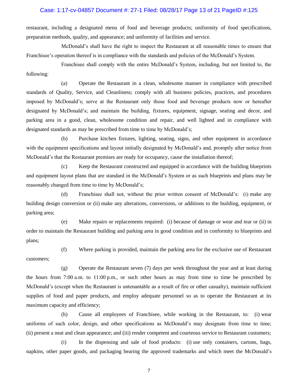# Case: 1:17-cv-04857 Document #: 27-1 Filed: 08/28/17 Page 13 of 21 PageID #:125

restaurant, including a designated menu of food and beverage products; uniformity of food specifications, preparation methods, quality, and appearance; and uniformity of facilities and service.

McDonald's shall have the right to inspect the Restaurant at all reasonable times to ensure that Franchisee's operation thereof is in compliance with the standards and policies of the McDonald's System.

Franchisee shall comply with the entire McDonald's System, including, but not limited to, the following:

(a) Operate the Restaurant in a clean, wholesome manner in compliance with prescribed standards of Quality, Service, and Cleanliness; comply with all business policies, practices, and procedures imposed by McDonald's; serve at the Restaurant only those food and beverage products now or hereafter designated by McDonald's; and maintain the building, fixtures, equipment, signage, seating and decor, and parking area in a good, clean, wholesome condition and repair, and well lighted and in compliance with designated standards as may be prescribed from time to time by McDonald's;

(b) Purchase kitchen fixtures, lighting, seating, signs, and other equipment in accordance with the equipment specifications and layout initially designated by McDonald's and, promptly after notice from McDonald's that the Restaurant premises are ready for occupancy, cause the installation thereof;

(c) Keep the Restaurant constructed and equipped in accordance with the building blueprints and equipment layout plans that are standard in the McDonald's System or as such blueprints and plans may be reasonably changed from time to time by McDonald's;

(d) Franchisee shall not, without the prior written consent of McDonald's: (i) make any building design conversion or (ii) make any alterations, conversions, or additions to the building, equipment, or parking area;

(e) Make repairs or replacements required: (i) because of damage or wear and tear or (ii) in order to maintain the Restaurant building and parking area in good condition and in conformity to blueprints and plans;

(f) Where parking is provided, maintain the parking area for the exclusive use of Restaurant customers;

(g) Operate the Restaurant seven (7) days per week throughout the year and at least during the hours from 7:00 a.m. to 11:00 p.m., or such other hours as may from time to time be prescribed by McDonald's (except when the Restaurant is untenantable as a result of fire or other casualty), maintain sufficient supplies of food and paper products, and employ adequate personnel so as to operate the Restaurant at its maximum capacity and efficiency;

(h) Cause all employees of Franchisee, while working in the Restaurant, to: (i) wear uniforms of such color, design, and other specifications as McDonald's may designate from time to time; (ii) present a neat and clean appearance; and (iii) render competent and courteous service to Restaurant customers;

(i) In the dispensing and sale of food products: (i) use only containers, cartons, bags, napkins, other paper goods, and packaging bearing the approved trademarks and which meet the McDonald's

7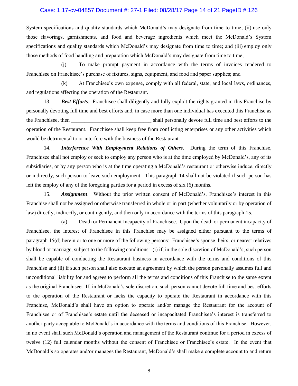#### Case: 1:17-cv-04857 Document #: 27-1 Filed: 08/28/17 Page 14 of 21 PageID #:126

System specifications and quality standards which McDonald's may designate from time to time; (ii) use only those flavorings, garnishments, and food and beverage ingredients which meet the McDonald's System specifications and quality standards which McDonald's may designate from time to time; and (iii) employ only those methods of food handling and preparation which McDonald's may designate from time to time;

(j) To make prompt payment in accordance with the terms of invoices rendered to Franchisee on Franchisee's purchase of fixtures, signs, equipment, and food and paper supplies; and

(k) At Franchisee's own expense, comply with all federal, state, and local laws, ordinances, and regulations affecting the operation of the Restaurant.

13. *Best Efforts*. Franchisee shall diligently and fully exploit the rights granted in this Franchise by personally devoting full time and best efforts and, in case more than one individual has executed this Franchise as the Franchisee, then \_\_\_\_\_\_\_\_\_\_\_\_\_\_\_\_\_\_\_\_\_\_\_\_\_\_\_\_\_\_ shall personally devote full time and best efforts to the operation of the Restaurant. Franchisee shall keep free from conflicting enterprises or any other activities which would be detrimental to or interfere with the business of the Restaurant.

14. *Interference With Employment Relations of Others*. During the term of this Franchise, Franchisee shall not employ or seek to employ any person who is at the time employed by McDonald's, any of its subsidiaries, or by any person who is at the time operating a McDonald's restaurant or otherwise induce, directly or indirectly, such person to leave such employment. This paragraph 14 shall not be violated if such person has left the employ of any of the foregoing parties for a period in excess of six (6) months.

15. *Assignment*. Without the prior written consent of McDonald's, Franchisee's interest in this Franchise shall not be assigned or otherwise transferred in whole or in part (whether voluntarily or by operation of law) directly, indirectly, or contingently, and then only in accordance with the terms of this paragraph 15.

(a) Death or Permanent Incapacity of Franchisee. Upon the death or permanent incapacity of Franchisee, the interest of Franchisee in this Franchise may be assigned either pursuant to the terms of paragraph 15(d) herein or to one or more of the following persons: Franchisee's spouse, heirs, or nearest relatives by blood or marriage, subject to the following conditions: (i) if, in the sole discretion of McDonald's, such person shall be capable of conducting the Restaurant business in accordance with the terms and conditions of this Franchise and (ii) if such person shall also execute an agreement by which the person personally assumes full and unconditional liability for and agrees to perform all the terms and conditions of this Franchise to the same extent as the original Franchisee. If, in McDonald's sole discretion, such person cannot devote full time and best efforts to the operation of the Restaurant or lacks the capacity to operate the Restaurant in accordance with this Franchise, McDonald's shall have an option to operate and/or manage the Restaurant for the account of Franchisee or of Franchisee's estate until the deceased or incapacitated Franchisee's interest is transferred to another party acceptable to McDonald's in accordance with the terms and conditions of this Franchise. However, in no event shall such McDonald's operation and management of the Restaurant continue for a period in excess of twelve (12) full calendar months without the consent of Franchisee or Franchisee's estate. In the event that McDonald's so operates and/or manages the Restaurant, McDonald's shall make a complete account to and return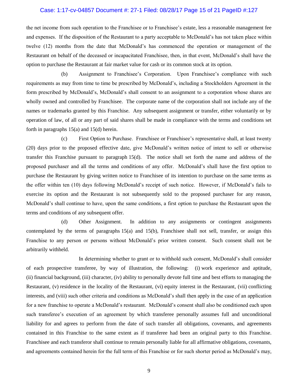# Case: 1:17-cv-04857 Document #: 27-1 Filed: 08/28/17 Page 15 of 21 PageID #:127

the net income from such operation to the Franchisee or to Franchisee's estate, less a reasonable management fee and expenses. If the disposition of the Restaurant to a party acceptable to McDonald's has not taken place within twelve (12) months from the date that McDonald's has commenced the operation or management of the Restaurant on behalf of the deceased or incapacitated Franchisee, then, in that event, McDonald's shall have the option to purchase the Restaurant at fair market value for cash or its common stock at its option.

(b) Assignment to Franchisee's Corporation. Upon Franchisee's compliance with such requirements as may from time to time be prescribed by McDonald's, including a Stockholders Agreement in the form prescribed by McDonald's, McDonald's shall consent to an assignment to a corporation whose shares are wholly owned and controlled by Franchisee. The corporate name of the corporation shall not include any of the names or trademarks granted by this Franchise. Any subsequent assignment or transfer, either voluntarily or by operation of law, of all or any part of said shares shall be made in compliance with the terms and conditions set forth in paragraphs 15(a) and 15(d) herein.

(c) First Option to Purchase. Franchisee or Franchisee's representative shall, at least twenty (20) days prior to the proposed effective date, give McDonald's written notice of intent to sell or otherwise transfer this Franchise pursuant to paragraph 15(d). The notice shall set forth the name and address of the proposed purchaser and all the terms and conditions of any offer. McDonald's shall have the first option to purchase the Restaurant by giving written notice to Franchisee of its intention to purchase on the same terms as the offer within ten (10) days following McDonald's receipt of such notice. However, if McDonald's fails to exercise its option and the Restaurant is not subsequently sold to the proposed purchaser for any reason, McDonald's shall continue to have, upon the same conditions, a first option to purchase the Restaurant upon the terms and conditions of any subsequent offer.

(d) Other Assignment. In addition to any assignments or contingent assignments contemplated by the terms of paragraphs 15(a) and 15(b), Franchisee shall not sell, transfer, or assign this Franchise to any person or persons without McDonald's prior written consent. Such consent shall not be arbitrarily withheld.

In determining whether to grant or to withhold such consent, McDonald's shall consider of each prospective transferee, by way of illustration, the following: (i) work experience and aptitude, (ii) financial background, (iii) character, (iv) ability to personally devote full time and best efforts to managing the Restaurant, (v) residence in the locality of the Restaurant, (vi) equity interest in the Restaurant, (vii) conflicting interests, and (viii) such other criteria and conditions as McDonald's shall then apply in the case of an application for a new franchise to operate a McDonald's restaurant. McDonald's consent shall also be conditioned each upon such transferee's execution of an agreement by which transferee personally assumes full and unconditional liability for and agrees to perform from the date of such transfer all obligations, covenants, and agreements contained in this Franchise to the same extent as if transferee had been an original party to this Franchise. Franchisee and each transferor shall continue to remain personally liable for all affirmative obligations, covenants, and agreements contained herein for the full term of this Franchise or for such shorter period as McDonald's may,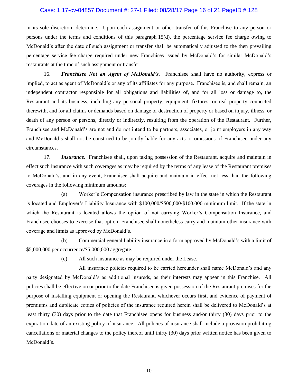#### Case: 1:17-cv-04857 Document #: 27-1 Filed: 08/28/17 Page 16 of 21 PageID #:128

in its sole discretion, determine. Upon each assignment or other transfer of this Franchise to any person or persons under the terms and conditions of this paragraph 15(d), the percentage service fee charge owing to McDonald's after the date of such assignment or transfer shall be automatically adjusted to the then prevailing percentage service fee charge required under new Franchises issued by McDonald's for similar McDonald's restaurants at the time of such assignment or transfer.

16. *Franchisee Not an Agent of McDonald's*. Franchisee shall have no authority, express or implied, to act as agent of McDonald's or any of its affiliates for any purpose. Franchisee is, and shall remain, an independent contractor responsible for all obligations and liabilities of, and for all loss or damage to, the Restaurant and its business, including any personal property, equipment, fixtures, or real property connected therewith, and for all claims or demands based on damage or destruction of property or based on injury, illness, or death of any person or persons, directly or indirectly, resulting from the operation of the Restaurant. Further, Franchisee and McDonald's are not and do not intend to be partners, associates, or joint employers in any way and McDonald's shall not be construed to be jointly liable for any acts or omissions of Franchisee under any circumstances.

17. *Insurance*. Franchisee shall, upon taking possession of the Restaurant, acquire and maintain in effect such insurance with such coverages as may be required by the terms of any lease of the Restaurant premises to McDonald's, and in any event, Franchisee shall acquire and maintain in effect not less than the following coverages in the following minimum amounts:

(a) Worker's Compensation insurance prescribed by law in the state in which the Restaurant is located and Employer's Liability Insurance with \$100,000/\$500,000/\$100,000 minimum limit. If the state in which the Restaurant is located allows the option of not carrying Worker's Compensation Insurance, and Franchisee chooses to exercise that option, Franchisee shall nonetheless carry and maintain other insurance with coverage and limits as approved by McDonald's.

(b) Commercial general liability insurance in a form approved by McDonald's with a limit of \$5,000,000 per occurrence/\$5,000,000 aggregate.

(c) All such insurance as may be required under the Lease.

All insurance policies required to be carried hereunder shall name McDonald's and any party designated by McDonald's as additional insureds, as their interests may appear in this Franchise. All policies shall be effective on or prior to the date Franchisee is given possession of the Restaurant premises for the purpose of installing equipment or opening the Restaurant, whichever occurs first, and evidence of payment of premiums and duplicate copies of policies of the insurance required herein shall be delivered to McDonald's at least thirty (30) days prior to the date that Franchisee opens for business and/or thirty (30) days prior to the expiration date of an existing policy of insurance. All policies of insurance shall include a provision prohibiting cancellations or material changes to the policy thereof until thirty (30) days prior written notice has been given to McDonald's.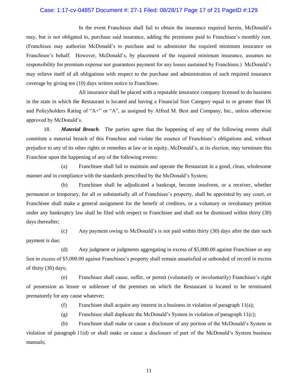# Case: 1:17-cv-04857 Document #: 27-1 Filed: 08/28/17 Page 17 of 21 PageID #:129

In the event Franchisee shall fail to obtain the insurance required herein, McDonald's may, but is not obligated to, purchase said insurance, adding the premiums paid to Franchisee's monthly rent. (Franchisee may authorize McDonald's to purchase and to administer the required minimum insurance on Franchisee's behalf. However, McDonald's, by placement of the required minimum insurance, assumes no responsibility for premium expense nor guarantees payment for any losses sustained by Franchisee.) McDonald's may relieve itself of all obligations with respect to the purchase and administration of such required insurance coverage by giving ten (10) days written notice to Franchisee.

All insurance shall be placed with a reputable insurance company licensed to do business in the state in which the Restaurant is located and having a Financial Size Category equal to or greater than IX and Policyholders Rating of "A+" or "A", as assigned by Alfred M. Best and Company, Inc., unless otherwise approved by McDonald's.

18. *Material Breach*. The parties agree that the happening of any of the following events shall constitute a material breach of this Franchise and violate the essence of Franchisee's obligations and, without prejudice to any of its other rights or remedies at law or in equity, McDonald's, at its election, may terminate this Franchise upon the happening of any of the following events:

(a) Franchisee shall fail to maintain and operate the Restaurant in a good, clean, wholesome manner and in compliance with the standards prescribed by the McDonald's System;

(b) Franchisee shall be adjudicated a bankrupt, become insolvent, or a receiver, whether permanent or temporary, for all or substantially all of Franchisee's property, shall be appointed by any court, or Franchisee shall make a general assignment for the benefit of creditors, or a voluntary or involuntary petition under any bankruptcy law shall be filed with respect to Franchisee and shall not be dismissed within thirty (30) days thereafter;

(c) Any payment owing to McDonald's is not paid within thirty (30) days after the date such payment is due;

(d) Any judgment or judgments aggregating in excess of \$5,000.00 against Franchisee or any lien in excess of \$5,000.00 against Franchisee's property shall remain unsatisfied or unbonded of record in excess of thirty (30) days;

(e) Franchisee shall cause, suffer, or permit (voluntarily or involuntarily) Franchisee's right of possession as lessee or sublessee of the premises on which the Restaurant is located to be terminated prematurely for any cause whatever;

(f) Franchisee shall acquire any interest in a business in violation of paragraph  $11(a)$ ;

(g) Franchisee shall duplicate the McDonald's System in violation of paragraph 11(c);

(h) Franchisee shall make or cause a disclosure of any portion of the McDonald's System in violation of paragraph 11(d) or shall make or cause a disclosure of part of the McDonald's System business manuals;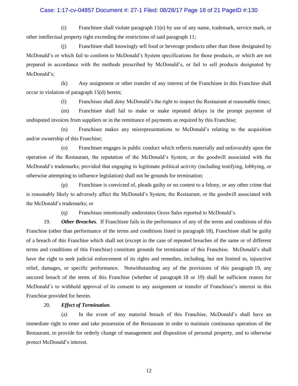# Case: 1:17-cv-04857 Document #: 27-1 Filed: 08/28/17 Page 18 of 21 PageID #:130

(i) Franchisee shall violate paragraph 11(e) by use of any name, trademark, service mark, or other intellectual property right exceeding the restrictions of said paragraph 11;

(j) Franchisee shall knowingly sell food or beverage products other than those designated by McDonald's or which fail to conform to McDonald's System specifications for those products, or which are not prepared in accordance with the methods prescribed by McDonald's, or fail to sell products designated by McDonald's;

(k) Any assignment or other transfer of any interest of the Franchisee in this Franchise shall occur in violation of paragraph 15(d) herein;

(l) Franchisee shall deny McDonald's the right to inspect the Restaurant at reasonable times;

(m) Franchisee shall fail to make or make repeated delays in the prompt payment of undisputed invoices from suppliers or in the remittance of payments as required by this Franchise;

(n) Franchisee makes any misrepresentations to McDonald's relating to the acquisition and/or ownership of this Franchise;

(o) Franchisee engages in public conduct which reflects materially and unfavorably upon the operation of the Restaurant, the reputation of the McDonald's System, or the goodwill associated with the McDonald's trademarks; provided that engaging in legitimate political activity (including testifying, lobbying, or otherwise attempting to influence legislation) shall not be grounds for termination;

(p) Franchisee is convicted of, pleads guilty or no contest to a felony, or any other crime that is reasonably likely to adversely affect the McDonald's System, the Restaurant, or the goodwill associated with the McDonald's trademarks; or

(q) Franchisee intentionally understates Gross Sales reported to McDonald's.

19. *Other Breaches*. If Franchisee fails in the performance of any of the terms and conditions of this Franchise (other than performance of the terms and conditions listed in paragraph 18), Franchisee shall be guilty of a breach of this Franchise which shall not (except in the case of repeated breaches of the same or of different terms and conditions of this Franchise) constitute grounds for termination of this Franchise. McDonald's shall have the right to seek judicial enforcement of its rights and remedies, including, but not limited to, injunctive relief, damages, or specific performance. Notwithstanding any of the provisions of this paragraph 19, any uncured breach of the terms of this Franchise (whether of paragraph 18 or 19) shall be sufficient reason for McDonald's to withhold approval of its consent to any assignment or transfer of Franchisee's interest in this Franchise provided for herein.

#### 20. *Effect of Termination*.

(a) In the event of any material breach of this Franchise, McDonald's shall have an immediate right to enter and take possession of the Restaurant in order to maintain continuous operation of the Restaurant, to provide for orderly change of management and disposition of personal property, and to otherwise protect McDonald's interest.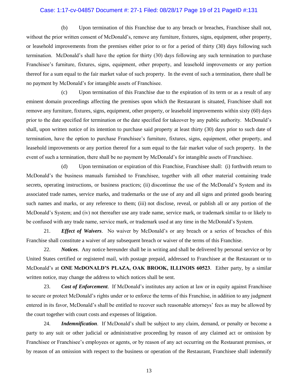#### Case: 1:17-cv-04857 Document #: 27-1 Filed: 08/28/17 Page 19 of 21 PageID #:131

(b) Upon termination of this Franchise due to any breach or breaches, Franchisee shall not, without the prior written consent of McDonald's, remove any furniture, fixtures, signs, equipment, other property, or leasehold improvements from the premises either prior to or for a period of thirty (30) days following such termination. McDonald's shall have the option for thirty (30) days following any such termination to purchase Franchisee's furniture, fixtures, signs, equipment, other property, and leasehold improvements or any portion thereof for a sum equal to the fair market value of such property. In the event of such a termination, there shall be no payment by McDonald's for intangible assets of Franchisee.

(c) Upon termination of this Franchise due to the expiration of its term or as a result of any eminent domain proceedings affecting the premises upon which the Restaurant is situated, Franchisee shall not remove any furniture, fixtures, signs, equipment, other property, or leasehold improvements within sixty (60) days prior to the date specified for termination or the date specified for takeover by any public authority. McDonald's shall, upon written notice of its intention to purchase said property at least thirty (30) days prior to such date of termination, have the option to purchase Franchisee's furniture, fixtures, signs, equipment, other property, and leasehold improvements or any portion thereof for a sum equal to the fair market value of such property. In the event of such a termination, there shall be no payment by McDonald's for intangible assets of Franchisee.

(d) Upon termination or expiration of this Franchise, Franchisee shall: (i) forthwith return to McDonald's the business manuals furnished to Franchisee, together with all other material containing trade secrets, operating instructions, or business practices; (ii) discontinue the use of the McDonald's System and its associated trade names, service marks, and trademarks or the use of any and all signs and printed goods bearing such names and marks, or any reference to them; (iii) not disclose, reveal, or publish all or any portion of the McDonald's System; and (iv) not thereafter use any trade name, service mark, or trademark similar to or likely to be confused with any trade name, service mark, or trademark used at any time in the McDonald's System.

21. *Effect of Waivers*. No waiver by McDonald's or any breach or a series of breaches of this Franchise shall constitute a waiver of any subsequent breach or waiver of the terms of this Franchise.

22. *Notices*. Any notice hereunder shall be in writing and shall be delivered by personal service or by United States certified or registered mail, with postage prepaid, addressed to Franchisee at the Restaurant or to McDonald's at **ONE McDONALD'S PLAZA, OAK BROOK, ILLINOIS 60523**. Either party, by a similar written notice, may change the address to which notices shall be sent.

23. *Cost of Enforcement*. If McDonald's institutes any action at law or in equity against Franchisee to secure or protect McDonald's rights under or to enforce the terms of this Franchise, in addition to any judgment entered in its favor, McDonald's shall be entitled to recover such reasonable attorneys' fees as may be allowed by the court together with court costs and expenses of litigation.

24. *Indemnification*. If McDonald's shall be subject to any claim, demand, or penalty or become a party to any suit or other judicial or administrative proceeding by reason of any claimed act or omission by Franchisee or Franchisee's employees or agents, or by reason of any act occurring on the Restaurant premises, or by reason of an omission with respect to the business or operation of the Restaurant, Franchisee shall indemnify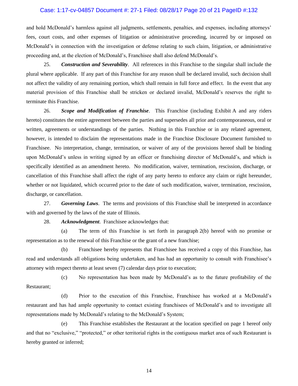#### Case: 1:17-cv-04857 Document #: 27-1 Filed: 08/28/17 Page 20 of 21 PageID #:132

and hold McDonald's harmless against all judgments, settlements, penalties, and expenses, including attorneys' fees, court costs, and other expenses of litigation or administrative proceeding, incurred by or imposed on McDonald's in connection with the investigation or defense relating to such claim, litigation, or administrative proceeding and, at the election of McDonald's, Franchisee shall also defend McDonald's.

25. *Construction and Severability*. All references in this Franchise to the singular shall include the plural where applicable. If any part of this Franchise for any reason shall be declared invalid, such decision shall not affect the validity of any remaining portion, which shall remain in full force and effect. In the event that any material provision of this Franchise shall be stricken or declared invalid, McDonald's reserves the right to terminate this Franchise.

26. *Scope and Modification of Franchise*. This Franchise (including Exhibit A and any riders hereto) constitutes the entire agreement between the parties and supersedes all prior and contemporaneous, oral or written, agreements or understandings of the parties. Nothing in this Franchise or in any related agreement, however, is intended to disclaim the representations made in the Franchise Disclosure Document furnished to Franchisee. No interpretation, change, termination, or waiver of any of the provisions hereof shall be binding upon McDonald's unless in writing signed by an officer or franchising director of McDonald's, and which is specifically identified as an amendment hereto. No modification, waiver, termination, rescission, discharge, or cancellation of this Franchise shall affect the right of any party hereto to enforce any claim or right hereunder, whether or not liquidated, which occurred prior to the date of such modification, waiver, termination, rescission, discharge, or cancellation.

27. *Governing Laws*. The terms and provisions of this Franchise shall be interpreted in accordance with and governed by the laws of the state of Illinois.

28. *Acknowledgment*. Franchisee acknowledges that:

(a) The term of this Franchise is set forth in paragraph 2(b) hereof with no promise or representation as to the renewal of this Franchise or the grant of a new franchise;

(b) Franchisee hereby represents that Franchisee has received a copy of this Franchise, has read and understands all obligations being undertaken, and has had an opportunity to consult with Franchisee's attorney with respect thereto at least seven (7) calendar days prior to execution;

(c) No representation has been made by McDonald's as to the future profitability of the Restaurant;

(d) Prior to the execution of this Franchise, Franchisee has worked at a McDonald's restaurant and has had ample opportunity to contact existing franchisees of McDonald's and to investigate all representations made by McDonald's relating to the McDonald's System;

(e) This Franchise establishes the Restaurant at the location specified on page 1 hereof only and that no "exclusive," "protected," or other territorial rights in the contiguous market area of such Restaurant is hereby granted or inferred;